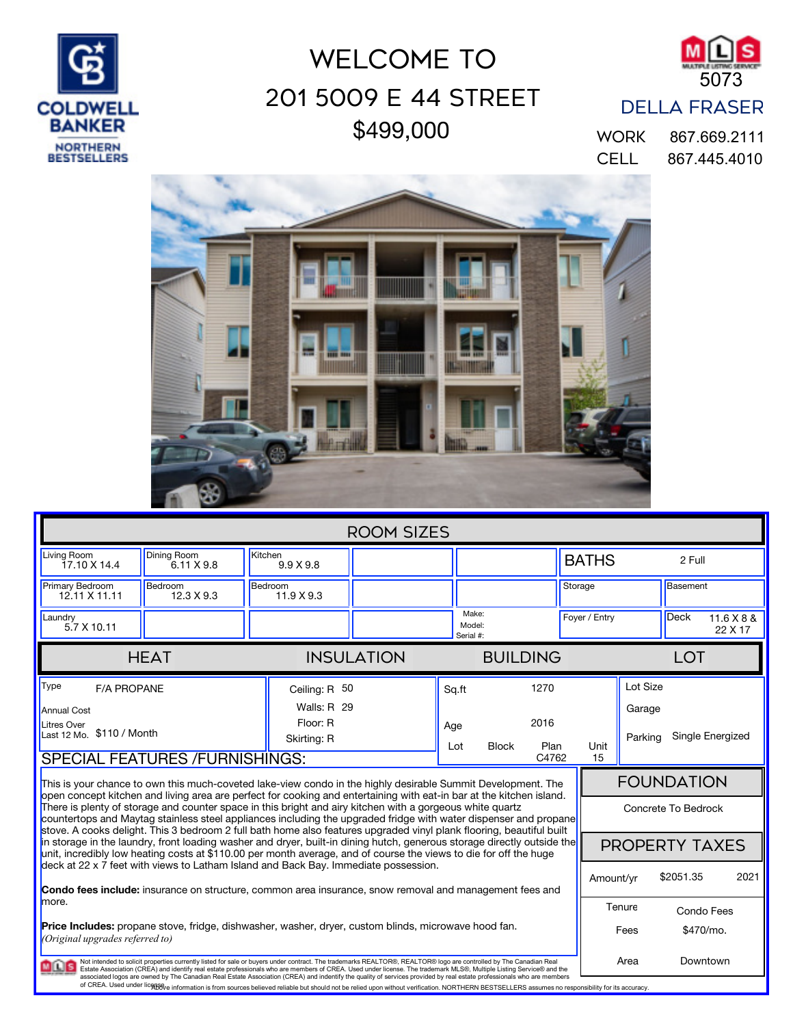

## \$499,000 201 5009 E 44 Street WELCOME TO



## DELLA FRASER

CELL 867.445.4010 WORK 867.669.2111



| <b>ROOM SIZES</b>                                                                                                                                                                                                                                                                                                                                                                                                                                                                                                                                                                                                                                                                                                                                      |                                         |                             |                              |  |                                                                      |               |                       |                                          |                         |           |  |
|--------------------------------------------------------------------------------------------------------------------------------------------------------------------------------------------------------------------------------------------------------------------------------------------------------------------------------------------------------------------------------------------------------------------------------------------------------------------------------------------------------------------------------------------------------------------------------------------------------------------------------------------------------------------------------------------------------------------------------------------------------|-----------------------------------------|-----------------------------|------------------------------|--|----------------------------------------------------------------------|---------------|-----------------------|------------------------------------------|-------------------------|-----------|--|
| Living Room<br>17.10 X 14.4                                                                                                                                                                                                                                                                                                                                                                                                                                                                                                                                                                                                                                                                                                                            | <b>Dining Room</b><br>$6.11 \times 9.8$ | Kitchen<br>$9.9 \times 9.8$ |                              |  |                                                                      | <b>BATHS</b>  |                       |                                          | 2 Full                  |           |  |
| Primary Bedroom<br>12.11 X 11.11                                                                                                                                                                                                                                                                                                                                                                                                                                                                                                                                                                                                                                                                                                                       | Bedroom<br>12.3 X 9.3                   | Bedroom<br>11.9 X 9.3       |                              |  |                                                                      |               | Storage               |                                          | Basement                |           |  |
| Laundry<br>$5.7 \times 10.11$                                                                                                                                                                                                                                                                                                                                                                                                                                                                                                                                                                                                                                                                                                                          |                                         |                             | Make:<br>Model:<br>Serial #: |  |                                                                      | Fover / Entry |                       | <b>Deck</b>                              | 11.6 X 8 &<br>22 X 17   |           |  |
|                                                                                                                                                                                                                                                                                                                                                                                                                                                                                                                                                                                                                                                                                                                                                        | <b>HEAT</b>                             |                             | <b>INSULATION</b>            |  | <b>BUILDING</b>                                                      |               | <b>LOT</b>            |                                          |                         |           |  |
| Type<br><b>F/A PROPANE</b><br><b>Annual Cost</b><br><b>Litres Over</b><br>Last 12 Mo. \$110 / Month<br><b>SPECIAL FEATURES /FURNISHINGS:</b>                                                                                                                                                                                                                                                                                                                                                                                                                                                                                                                                                                                                           |                                         | Floor: R<br>Skirting: R     | Ceiling: R 50<br>Walls: R 29 |  | 1270<br>Sq.ft<br>2016<br>Age<br><b>Block</b><br>Plan<br>Lot<br>C4762 |               | Unit<br>15            | Lot Size<br>Garage<br>Parking            | Single Energized        |           |  |
| This is your chance to own this much-coveted lake-view condo in the highly desirable Summit Development. The<br>open concept kitchen and living area are perfect for cooking and entertaining with eat-in bar at the kitchen island.<br>There is plenty of storage and counter space in this bright and airy kitchen with a gorgeous white quartz<br>countertops and Maytag stainless steel appliances including the upgraded fridge with water dispenser and propane<br>stove. A cooks delight. This 3 bedroom 2 full bath home also features upgraded vinyl plank flooring, beautiful built                                                                                                                                                          |                                         |                             |                              |  |                                                                      |               |                       | <b>FOUNDATION</b><br>Concrete To Bedrock |                         |           |  |
| in storage in the laundry, front loading washer and dryer, built-in dining hutch, generous storage directly outside the<br>unit, incredibly low heating costs at \$110.00 per month average, and of course the views to die for off the huge<br>deck at 22 x 7 feet with views to Latham Island and Back Bay. Immediate possession.                                                                                                                                                                                                                                                                                                                                                                                                                    |                                         |                             |                              |  |                                                                      |               | <b>PROPERTY TAXES</b> |                                          |                         |           |  |
| <b>Condo fees include:</b> insurance on structure, common area insurance, snow removal and management fees and<br>more.                                                                                                                                                                                                                                                                                                                                                                                                                                                                                                                                                                                                                                |                                         |                             |                              |  |                                                                      |               | Amount/vr             | Tenure                                   | \$2051.35<br>Condo Fees | 2021      |  |
| <b>Price Includes:</b> propane stove, fridge, dishwasher, washer, dryer, custom blinds, microwave hood fan.<br>(Original upgrades referred to)                                                                                                                                                                                                                                                                                                                                                                                                                                                                                                                                                                                                         |                                         |                             |                              |  |                                                                      |               |                       | Fees                                     |                         | \$470/mo. |  |
| Downtown<br>Not intended to solicit properties currently listed for sale or buyers under contract. The trademarks REALTOR®, REALTOR® logo are controlled by The Canadian Real<br>Area<br><b>MILLS</b><br>Estate Association (CREA) and identify real estate professionals who are members of CREA. Used under license. The trademark MLS®, Multiple Listing Service® and the<br>associated logos are owned by The Canadian Real Estate Association (CREA) and indentify the quality of services provided by real estate professionals who are members<br>of CREA. Used under licoto enformation is from sources believed reliable but should not be relied upon without verification. NORTHERN BESTSELLERS assumes no responsibility for its accuracy. |                                         |                             |                              |  |                                                                      |               |                       |                                          |                         |           |  |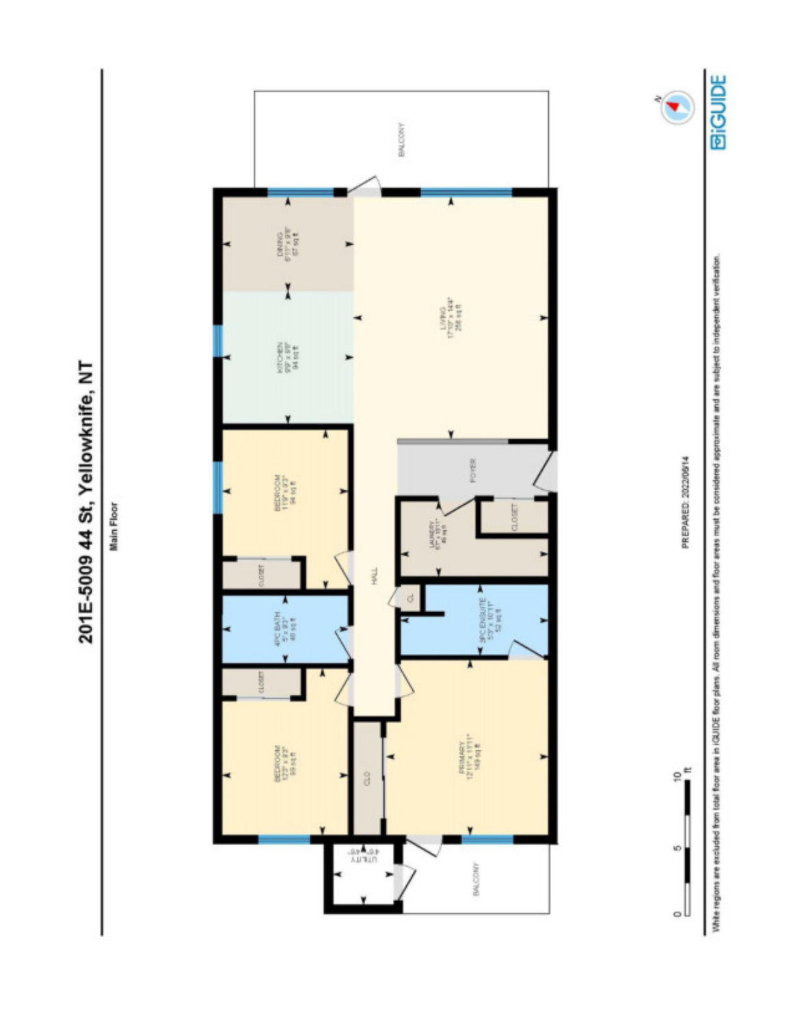

 $\bullet$ 

White regions are excluded from total floor area in iGUIDE floor plans. All room amot floor areas must be considered approximate and are subject to independent verification.

PREPARED: 2022/06/14

 $e^e$ 

KD

۰U



201E-5009 44 St, Yellowknife, NT

Main Floor